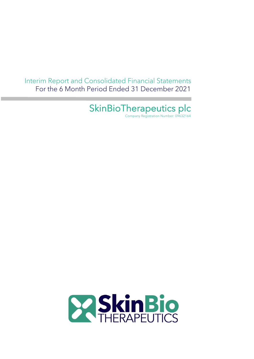Interim Report and Consolidated Financial Statements For the 6 Month Period Ended 31 December 2021

# SkinBioTherapeutics plc

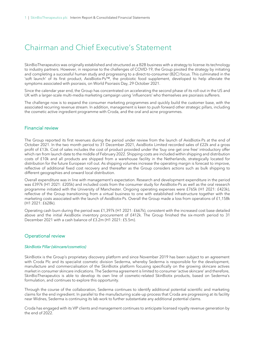# Chairman and Chief Executive's Statement

SkinBioTherapeutics was originally established and structured as a B2B business with a strategy to license its technology to industry partners. However, in response to the challenges of COVID-19, the Group pivoted the strategy by initiating and completing a successful human study and progressing to a direct-to-consumer (B2C) focus. This culminated in the 'soft launch' of its first product, AxisBiotix-Ps™, the probiotic food supplement, developed to help alleviate the symptoms associated with psoriasis, on World Psoriasis Day, 29 October 2021.

Since the calendar year end, the Group has concentrated on accelerating the second phase of its roll-out in the US and UK with a larger-scale multi-media marketing campaign using 'influencers' who themselves are psoriasis sufferers.

The challenge now is to expand the consumer marketing programmes and quickly build the customer base, with the associated recurring revenue stream. In addition, management is keen to push forward other strategic pillars, including the cosmetic active ingredient programme with Croda, and the oral and acne programmes.

### Financial review

The Group reported its first revenues during the period under review from the launch of AxisBiotix-Ps at the end of October 2021. In the two month period to 31 December 2021, AxisBiotix Limited recorded sales of £22k and a gross profit of £13k. Cost of sales includes the cost of product provided under the 'buy one get one free' introductory offer which ran from launch date to the middle of February 2022. Shipping costs are included within shipping and distribution costs of £10k and all products are shipped from a warehouse facility in the Netherlands, strategically located for distribution for the future European roll out. As shipping volumes increase the operating margin is forecast to improve, reflective of additional fixed cost recovery and thereafter as the Group considers actions such as bulk shipping to different geographies and onward local distribution.

Overall expenditure was in line with management's expectation. Research and development expenditure in the period was £397k (H1 2021: £205k) and included costs from the consumer study for AxisBiotix-Ps as well as the oral research programme initiated with the University of Manchester. Ongoing operating expenses were £765k (H1 2021: £423k), reflective of the Group transitioning from a virtual business to one with established infrastructure together with the marketing costs associated with the launch of AxisBiotix-Ps. Overall the Group made a loss from operations of £1,158k (H1 2021: £628k).

Operating cash burn during the period was £1,397k (H1 2021: £667k), consistent with the increased cost base detailed above and the initial AxisBiotix inventory procurement of £412k. The Group finished the six-month period to 31 December 2021 with a cash balance of £3.2m (H1 2021: £5.5m).

### Operational review

### *SkinBiotix Pillar (skincare/cosmetics)*

SkinBiotix is the Group's proprietary discovery platform and since November 2019 has been subject to an agreement with Croda Plc and its specialist cosmetic division Sederma, whereby Sederma is responsible for the development, manufacture and commercialisation of the SkinBiotix platform focusing specifically on the growing skincare actives market in consumer skincare indications. The Sederma agreement is limited to consumer 'active skincare' and therefore, SkinBioTherapeutics is able to develop its own line of cosmetic-related SkinBiotix products, based on Sederma's formulation, and continues to explore this opportunity.

Through the course of the collaboration, Sederma continues to identify additional potential scientific and marketing claims for the end ingredient. In parallel to the manufacturing scale-up process that Croda are progressing at its facility near Widnes, Sederma is continuing its lab work to further substantiate any additional potential claims.

Croda has engaged with its VIP clients and management continues to anticipate licensed royalty revenue generation by the end of  $2022$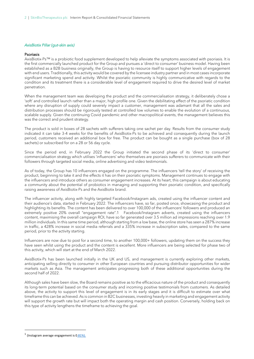#### *AxisBiotix Pillar (gut-skin axis)*

#### Psoriasis

AxisBiotix-Ps™ is a probiotic food supplement developed to help alleviate the symptoms associated with psoriasis. It is the first commercially launched product for the Group and pursues a 'direct to consumer' business model. Having been established as a B2B business originally, the Group is having to resource itself to support higher levels of engagement with end users. Traditionally, this activity would be covered by the licensee industry partner and in most cases incorporate significant marketing spend and activity. Whilst the psoriatic community is highly communicative with regards to the condition and its treatment there is a considerable level of engagement required to drive the desired level of market penetration.

When the management team was developing the product and the commercialisation strategy, it deliberately chose a 'soft' and controlled launch rather than a major, high profile one. Given the debilitating effect of the psoriatic condition where any disruption of supply could severely impact a customer, management was adamant that all the sales and distribution processes should be rigorously tested at controlled low volumes to enable the evolution of a continuous, scalable supply. Given the continuing Covid pandemic and other macropolitical events, the management believes this was the correct and prudent strategy.

The product is sold in boxes of 28 sachets with sufferers taking one sachet per day. Results from the consumer study indicated it can take 3-4 weeks for the benefits of AxisBiotix-Ps to be achieved and consequently during the launch period, customers received an additional box for free. The product can be bought as a single purchase (box of 28 sachets) or subscribed for on a 28 or 56 day cycle.

Since the period end, in February 2022 the Group initiated the second phase of its 'direct to consumer' commercialisation strategy which utilises 'influencers' who themselves are psoriasis sufferers to communicate with their followers through targeted social media, online advertising and video testimonials.

As of today, the Group has 10 influencers engaged on the programme. The influencers 'tell the story' of receiving the product, beginning to take it and the effects it has on their psoriatic symptoms. Management continues to engage with the influencers and introduce others as consumer engagement increases. At its heart, this campaign is about educating a community about the potential of probiotics in managing and supporting their psoriatic condition, and specifically raising awareness of AxisBiotix-Ps and the AxisBiotix brand.

The influencer activity, along with highly targeted Facebook/Instagram ads, created using the influencer content and their audience's data, started in February 2022. The influencers have, so far, posted once, showcasing the product and highlighting its benefits. The content has been delivered to over 100,000 of the influencers' followers and produced an extremely positive 20% overall "engagement rate".1 Facebook/Instagram adverts, created using the influencers content, maximising the overall campaign ROI, have so far generated over 3.5 million ad impressions reaching over 1.9 million individuals. In this same time period, although starting from a low base, the online store has seen a 287% increase in traffic, a 428% increase in social media referrals and a 335% increase in subscription sales, compared to the same period, prior to the activity starting.

Influencers are now due to post for a second time, to another 100,000+ followers, updating them on the success they have seen whilst using the product and the content is excellent. More influencers are being selected for phase two of this activity, which will start at the end of March 2022.

AxisBiotix-Ps has been launched initially in the UK and US, and management is currently exploring other markets, anticipating selling directly to consumer in other European countries and pursuing distributor opportunities for wider markets such as Asia. The management anticipates progressing both of these additional opportunities during the second half of 2022.

Although sales have been slow, the Board remains positive as to the efficacious nature of the product and consequently its long-term potential based on the consumer study and incoming positive testimonials from customers. As detailed above, the activity to support this level of engagement is in its early stages and it is difficult to estimate over what timeframe this can be achieved. As is common in B2C businesses, investing heavily in marketing and engagement activity will support the growth rate but will impact both the operating margin and cash position. Conversely, holding back on this type of activity lengthens the timeframe to achieving the goal.

 $1$  (Instagram average engagement is 0.81%).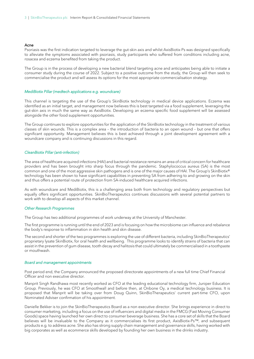#### Acne

Psoriasis was the first indication targeted to leverage the gut-skin axis and whilst AxisBiotix-Ps was designed specifically to alleviate the symptoms associated with psoriasis, study participants who suffered from conditions including acne, rosacea and eczema benefited from taking the product.

The Group is in the process of developing a new bacterial blend targeting acne and anticipates being able to initiate a consumer study during the course of 2022. Subject to a positive outcome from the study, the Group will then seek to commercialise the product and will assess its options for the most appropriate commercialisation strategy.

#### *MediBiotix Pillar (medtech applications e.g. woundcare)*

This channel is targeting the use of the Group's SkinBiotix technology in medical device applications. Eczema was identified as an initial target, and management now believes this is best targeted via a food supplement, leveraging the gut-skin axis in much the same way as AxisBiotix. Developing an eczema specific food supplement will be assessed alongside the other food supplement opportunities.

The Group continues to explore opportunities for the application of the SkinBiotix technology in the treatment of various classes of skin wounds. This is a complex area – the introduction of bacteria to an open wound – but one that offers significant opportunity. Management believes this is best achieved through a joint development agreement with a woundcare company and is continuing discussions in this regard.

#### *CleanBiotix Pillar (anti-infection)*

The area of healthcare acquired infections (HAI) and bacterial resistance remains an area of critical concern for healthcare providers and has been brought into sharp focus through the pandemic. Staphylococcus aureus (SA) is the most common and one of the most aggressive skin pathogens and is one of the major causes of HAI. The Group's SkinBiotix® technology has been shown to have significant capabilities in preventing SA from adhering to and growing on the skin and thus offers a potential route of protection from SA-induced healthcare acquired infections.

As with woundcare and MediBiotix, this is a challenging area both from technology and regulatory perspectives but equally offers significant opportunities. SkinBioTherapeutics continues discussions with several potential partners to work with to develop all aspects of this market channel.

### *Other Research Programmes*

The Group has two additional programmes of work underway at the University of Manchester.

The first programme is running until the end of 2023 and is focusing on how the microbiome can influence and rebalance the body's response to inflammation in skin health and skin disease.

The second and shorter of the two programmes is exploring the use of different bacteria, including SkinBioTherapeutics' proprietary lysate SkinBiotix, for oral health and wellbeing. This programme looks to identify strains of bacteria that can assist in the prevention of gum disease, tooth decay and halitosis that could ultimately be commercialised in a toothpaste or mouthwash.

#### *Board and management appointments*

Post period end, the Company announced the proposed directorate appointments of a new full time Chief Financial Officer and non executive director.

Manprit Singh Randhawa most recently worked as CFO at the leading educational technology firm, Juniper Education Group. Previously, he was CFO at Smoothwall and before then, at Onbone Oy, a medical technology business. It is proposed that Manprit will be taking over from Doug Quinn, SkinBioTherapeutics' current part-time CFO, upon Nominated Adviser confirmation of his appointment.

Danielle Bekker is to join the SkinBioTherapeutics Board as a non executive director. She brings experience in direct to consumer marketing, including a focus on the use of influencers and digital media in the FMCG (Fast Moving Consumer Goods) space having launched her own direct to consumer beverage business. She has a core set of skills that the Board believes will be invaluable to the Company as it commercialises its first product, AxisBiotix-Ps™, and subsequent products e.g. to address acne. She also has strong supply chain management and governance skills, having worked with big corporates as well as ecommerce skills developed by founding her own business in the drinks industry.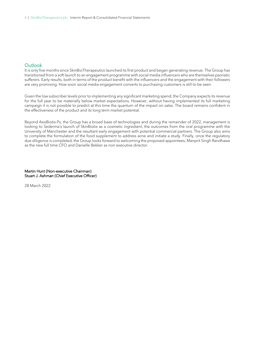### **Outlook**

It is only five months since SkinBioTherapeutics launched its first product and began generating revenue. The Group has transitioned from a soft launch to an engagement programme with social media influencers who are themselves psoriatic sufferers. Early results, both in terms of the product benefit with the influencers and the engagement with their followers are very promising. How soon social media engagement converts to purchasing customers is still to be seen.

Given the low subscriber levels prior to implementing any significant marketing spend, the Company expects its revenue for the full year to be materially below market expectations. However, without having implemented its full marketing campaign it is not possible to predict at this time the quantum of the impact on sales. The board remains confident in the effectiveness of the product and its long term market potential.

Beyond AxisBiotix-Ps, the Group has a broad base of technologies and during the remainder of 2022, management is looking to Sederma's launch of SkinBiotix as a cosmetic ingredient, the outcomes from the oral programme with the University of Manchester and the resultant early engagement with potential commercial partners. The Group also aims to complete the formulation of the food supplement to address acne and initiate a study. Finally, once the regulatory due diligence is completed, the Group looks forward to welcoming the proposed appointees, Manprit Singh Randhawa as the new full time CFO and Danielle Bekker as non executive director.

Martin Hunt (Non-executive Chairman) Stuart J. Ashman (Chief Executive Officer)

28 March 2022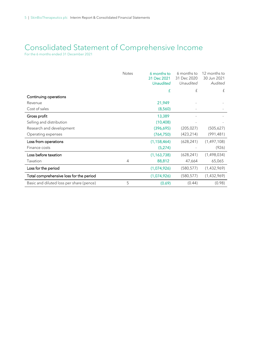# Consolidated Statement of Comprehensive Income

For the 6 months ended 31 December 2021

|                                          | <b>Notes</b> | 6 months to<br>31 Dec 2021<br><b>Unaudited</b> | 6 months to<br>31 Dec 2020<br>Unaudited | 12 months to<br>30 Jun 2021<br>Audited |
|------------------------------------------|--------------|------------------------------------------------|-----------------------------------------|----------------------------------------|
|                                          |              | £                                              | £                                       | £                                      |
| Continuing operations                    |              |                                                |                                         |                                        |
| Revenue                                  |              | 21,949                                         |                                         |                                        |
| Cost of sales                            |              | (8,560)                                        |                                         |                                        |
| Gross profit                             |              | 13,389                                         |                                         |                                        |
| Selling and distribution                 |              | (10, 408)                                      |                                         |                                        |
| Research and development                 |              | (396, 695)                                     | (205, 027)                              | (505,627)                              |
| Operating expenses                       |              | (764, 750)                                     | (423, 214)                              | (991, 481)                             |
| Loss from operations                     |              | (1, 158, 464)                                  | (628, 241)                              | (1,497,108)                            |
| Finance costs                            |              | (5,274)                                        |                                         | (926)                                  |
| Loss before taxation                     |              | (1, 163, 738)                                  | (628, 241)                              | (1,498,034)                            |
| Taxation                                 | 4            | 88,812                                         | 47,664                                  | 65,065                                 |
| Loss for the period                      |              | (1,074,926)                                    | (580, 577)                              | (1,432,969)                            |
| Total comprehensive loss for the period  |              | (1,074,926)                                    | (580, 577)                              | (1,432,969)                            |
| Basic and diluted loss per share (pence) | 5            | (0.69)                                         | (0.44)                                  | (0.98)                                 |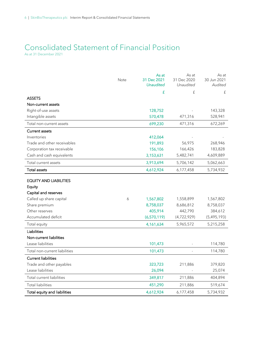# Consolidated Statement of Financial Position

As at 31 December 2021

|                               | Note | As at<br>31 Dec 2021<br><b>Unaudited</b> | As at<br>31 Dec 2020<br>Unaudited | As at<br>30 Jun 2021<br>Audited |
|-------------------------------|------|------------------------------------------|-----------------------------------|---------------------------------|
|                               |      | £                                        | £                                 | £                               |
| <b>ASSETS</b>                 |      |                                          |                                   |                                 |
| Non-current assets            |      |                                          |                                   |                                 |
| Right-of-use assets           |      | 128,752                                  |                                   | 143,328                         |
| Intangible assets             |      | 570,478                                  | 471,316                           | 528,941                         |
| Total non-current assets      |      | 699,230                                  | 471,316                           | 672,269                         |
| <b>Current assets</b>         |      |                                          |                                   |                                 |
| Inventories                   |      | 412,064                                  |                                   |                                 |
| Trade and other receivables   |      | 191,893                                  | 56,975                            | 268,946                         |
| Corporation tax receivable    |      | 156,106                                  | 166,426                           | 183,828                         |
| Cash and cash equivalents     |      | 3,153,631                                | 5,482,741                         | 4,609,889                       |
| Total current assets          |      | 3,913,694                                | 5,706,142                         | 5,062,663                       |
| <b>Total assets</b>           |      | 4,612,924                                | 6,177,458                         | 5,734,932                       |
| <b>EQUITY AND LIABILITIES</b> |      |                                          |                                   |                                 |
| Equity                        |      |                                          |                                   |                                 |
| Capital and reserves          |      |                                          |                                   |                                 |
| Called up share capital       | 6    | 1,567,802                                | 1,558,899                         | 1,567,802                       |
| Share premium                 |      | 8,758,037                                | 8,686,812                         | 8,758,037                       |
| Other reserves                |      | 405,914                                  | 442,790                           | 384,612                         |
| Accumulated deficit           |      | (6,570,119)                              | (4,722,929)                       | (5,495,193)                     |
| Total equity                  |      | 4,161,634                                | 5,965,572                         | 5,215,258                       |
| <b>Liabilities</b>            |      |                                          |                                   |                                 |
| Non-current liabilities       |      |                                          |                                   |                                 |
| Lease liabilities             |      | 101,473                                  |                                   | 114,780                         |
| Total non-current liabilities |      | 101,473                                  |                                   | 114,780                         |
| <b>Current liabilities</b>    |      |                                          |                                   |                                 |
| Trade and other payables      |      | 323,723                                  | 211,886                           | 379,820                         |
| Lease liabilities             |      | 26,094                                   |                                   | 25,074                          |
| Total current liabilities     |      | 349,817                                  | 211,886                           | 404,894                         |
| <b>Total liabilities</b>      |      | 451,290                                  | 211,886                           | 519,674                         |
| Total equity and liabilities  |      | 4,612,924                                | 6,177,458                         | 5,734,932                       |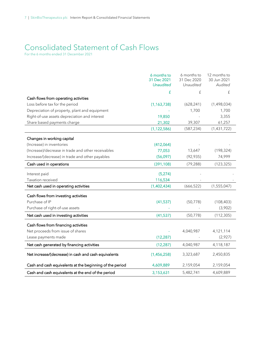# Consolidated Statement of Cash Flows

For the 6 months ended 31 December 2021

|                                                          | 6 months to<br>31 Dec 2021 | 6 months to<br>31 Dec 2020 | 12 months to<br>30 Jun 2021 |
|----------------------------------------------------------|----------------------------|----------------------------|-----------------------------|
|                                                          | <b>Unaudited</b>           | Unaudited                  | Audited                     |
|                                                          | £                          | £                          | £                           |
| Cash flows from operating activities                     |                            |                            |                             |
| Loss before tax for the period                           | (1, 163, 738)              | (628, 241)                 | (1,498,034)                 |
| Depreciation of property, plant and equipment            |                            | 1,700                      | 1,700                       |
| Right-of-use assets depreciation and interest            | 19,850                     |                            | 3,355                       |
| Share based payments charge                              | 21,302                     | 39,307                     | 61,257                      |
|                                                          | (1, 122, 586)              | (587, 234)                 | (1,431,722)                 |
| Changes in working capital                               |                            |                            |                             |
| (Increase) in inventories                                | (412,064)                  |                            |                             |
| (Increase)/decrease in trade and other receivables       | 77,053                     | 13,647                     | (198, 324)                  |
| Increase/(decrease) in trade and other payables          | (56,097)                   | (92, 935)                  | 74,999                      |
| Cash used in operations                                  | (391, 108)                 | (79, 288)                  | (123, 325)                  |
| Interest paid                                            | (5,274)                    |                            |                             |
| Taxation received                                        | 116,534                    |                            |                             |
| Net cash used in operating activities                    | (1,402,434)                | (666, 522)                 | (1, 555, 047)               |
| Cash flows from investing activities                     |                            |                            |                             |
| Purchase of IP                                           | (41, 537)                  | (50, 778)                  | (108, 403)                  |
| Purchase of right-of-use assets                          |                            |                            | (3,902)                     |
| Net cash used in investing activities                    | (41,537)                   | (50, 778)                  | (112, 305)                  |
| Cash flows from financing activities                     |                            |                            |                             |
| Net proceeds from issue of shares                        |                            | 4,040,987                  | 4,121,114                   |
| Lease payments made                                      | (12, 287)                  |                            | (2,927)                     |
| Net cash generated by financing activities               | (12, 287)                  | 4,040,987                  | 4,118,187                   |
| Net increase/(decrease) in cash and cash equivalents     | (1,456,258)                | 3,323,687                  | 2,450,835                   |
| Cash and cash equivalents at the beginning of the period | 4,609,889                  | 2,159,054                  | 2,159,054                   |
| Cash and cash equivalents at the end of the period       | 3,153,631                  | 5,482,741                  | 4,609,889                   |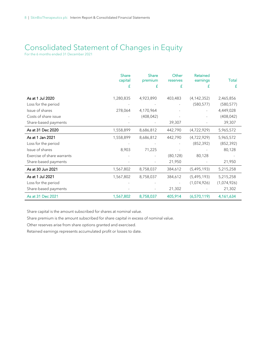# Consolidated Statement of Changes in Equity

For the 6 months ended 31 December 2021

|                            | Share<br>capital | <b>Share</b><br>premium | Other<br>reserves | Retained<br>earnings | Total       |
|----------------------------|------------------|-------------------------|-------------------|----------------------|-------------|
|                            | £                | £                       | £                 | £                    | £           |
|                            |                  |                         |                   |                      |             |
| As at 1 Jul 2020           | 1,280,835        | 4,923,890               | 403,483           | (4, 142, 352)        | 2,465,856   |
| Loss for the period        |                  |                         |                   | (580, 577)           | (580, 577)  |
| Issue of shares            | 278,064          | 4,170,964               |                   |                      | 4,449,028   |
| Costs of share issue       |                  | (408, 042)              |                   |                      | (408, 042)  |
| Share-based payments       |                  |                         | 39,307            |                      | 39,307      |
| As at 31 Dec 2020          | 1,558,899        | 8,686,812               | 442,790           | (4,722,929)          | 5,965,572   |
| As at 1 Jan 2021           | 1,558,899        | 8,686,812               | 442,790           | (4,722,929)          | 5,965,572   |
| Loss for the period        |                  |                         |                   | (852, 392)           | (852, 392)  |
| Issue of shares            | 8,903            | 71,225                  |                   |                      | 80,128      |
| Exercise of share warrants |                  |                         | (80, 128)         | 80,128               |             |
| Share-based payments       |                  |                         | 21,950            |                      | 21,950      |
| As at 30 Jun 2021          | 1,567,802        | 8,758,037               | 384,612           | (5,495,193)          | 5,215,258   |
| As at 1 Jul 2021           | 1,567,802        | 8,758,037               | 384,612           | (5,495,193)          | 5,215,258   |
| Loss for the period        |                  |                         |                   | (1,074,926)          | (1,074,926) |
| Share-based payments       |                  |                         | 21,302            |                      | 21,302      |
| As at 31 Dec 2021          | 1,567,802        | 8,758,037               | 405,914           | (6,570,119)          | 4,161,634   |

Share capital is the amount subscribed for shares at nominal value.

Share premium is the amount subscribed for share capital in excess of nominal value.

Other reserves arise from share options granted and exercised.

Retained earnings represents accumulated profit or losses to date.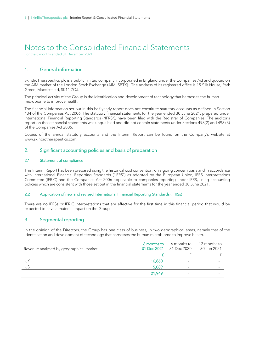# Notes to the Consolidated Financial Statements

For the 6 months ended 31 December 2021

# 1. General information

SkinBioTherapeutics plc is a public limited company incorporated in England under the Companies Act and quoted on the AIM market of the London Stock Exchange (AIM: SBTX). The address of its registered office is 15 Silk House, Park Green, Macclesfield, SK11 7QJ.

The principal activity of the Group is the identification and development of technology that harnesses the human microbiome to improve health.

The financial information set out in this half yearly report does not constitute statutory accounts as defined in Section 434 of the Companies Act 2006. The statutory financial statements for the year ended 30 June 2021, prepared under International Financial Reporting Standards ("IFRS"), have been filed with the Registrar of Companies. The auditor's report on those financial statements was unqualified and did not contain statements under Sections 498(2) and 498 (3) of the Companies Act 2006.

Copies of the annual statutory accounts and the Interim Report can be found on the Company's website at www.skinbiotherapeutics.com.

### 2. Significant accounting policies and basis of preparation

### 2.1 Statement of compliance

This Interim Report has been prepared using the historical cost convention, on a going concern basis and in accordance with International Financial Reporting Standards ("IFRS") as adopted by the European Union, IFRS Interpretations Committee (IFRIC) and the Companies Act 2006 applicable to companies reporting under IFRS, using accounting policies which are consistent with those set out in the financial statements for the year ended 30 June 2021.

### 2.2 Application of new and revised International Financial Reporting Standards (IFRSs)

There are no IFRSs or IFRIC interpretations that are effective for the first time in this financial period that would be expected to have a material impact on the Group.

## 3. Segmental reporting

In the opinion of the Directors, the Group has one class of business, in two geographical areas, namely that of the identification and development of technology that harnesses the human microbiome to improve health.

| Revenue analysed by geographical market | 6 months to<br>31 Dec 2021 | 6 months to<br>31 Dec 2020 | 12 months to<br>30 Jun 2021 |
|-----------------------------------------|----------------------------|----------------------------|-----------------------------|
|                                         |                            |                            |                             |
| UK                                      | 16,860                     | $\overline{\phantom{a}}$   |                             |
| US.                                     | 5,089                      | $\sim$                     |                             |
|                                         | 21.949                     |                            |                             |